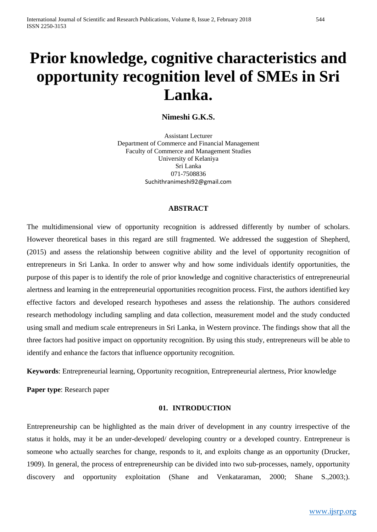# **Prior knowledge, cognitive characteristics and opportunity recognition level of SMEs in Sri Lanka.**

# **Nimeshi G.K.S.**

Assistant Lecturer Department of Commerce and Financial Management Faculty of Commerce and Management Studies University of Kelaniya Sri Lanka 071-7508836 [Suchithranimeshi92@gmail.com](mailto:Suchithranimeshi92@gmail.com)

#### **ABSTRACT**

The multidimensional view of opportunity recognition is addressed differently by number of scholars. However theoretical bases in this regard are still fragmented. We addressed the suggestion of Shepherd, (2015) and assess the relationship between cognitive ability and the level of opportunity recognition of entrepreneurs in Sri Lanka. In order to answer why and how some individuals identify opportunities, the purpose of this paper is to identify the role of prior knowledge and cognitive characteristics of entrepreneurial alertness and learning in the entrepreneurial opportunities recognition process. First, the authors identified key effective factors and developed research hypotheses and assess the relationship. The authors considered research methodology including sampling and data collection, measurement model and the study conducted using small and medium scale entrepreneurs in Sri Lanka, in Western province. The findings show that all the three factors had positive impact on opportunity recognition. By using this study, entrepreneurs will be able to identify and enhance the factors that influence opportunity recognition.

**Keywords**: Entrepreneurial learning, Opportunity recognition, Entrepreneurial alertness, Prior knowledge

**Paper type**: Research paper

#### **01. INTRODUCTION**

Entrepreneurship can be highlighted as the main driver of development in any country irrespective of the status it holds, may it be an under-developed/ developing country or a developed country. Entrepreneur is someone who actually searches for change, responds to it, and exploits change as an opportunity (Drucker, 1909). In general, the process of entrepreneurship can be divided into two sub-processes, namely, opportunity discovery and opportunity exploitation (Shane and Venkataraman, 2000; Shane S.,2003;).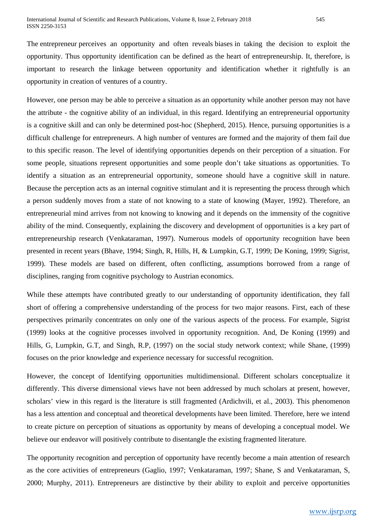The entrepreneur perceives an opportunity and often reveals [biases](https://en.wikipedia.org/wiki/Biases) in taking the decision to exploit the opportunity. Thus opportunity identification can be defined as the heart of entrepreneurship. It, therefore, is important to research the linkage between opportunity and identification whether it rightfully is an opportunity in creation of ventures of a country.

However, one person may be able to perceive a situation as an opportunity while another person may not have the attribute - the cognitive ability of an individual, in this regard. Identifying an entrepreneurial opportunity is a cognitive skill and can only be determined post-hoc (Shepherd, 2015). Hence, pursuing opportunities is a difficult challenge for entrepreneurs. A high number of ventures are formed and the majority of them fail due to this specific reason. The level of identifying opportunities depends on their perception of a situation. For some people, situations represent opportunities and some people don't take situations as opportunities. To identify a situation as an entrepreneurial opportunity, someone should have a cognitive skill in nature. Because the perception acts as an internal cognitive stimulant and it is representing the process through which a person suddenly moves from a state of not knowing to a state of knowing (Mayer, 1992). Therefore, an entrepreneurial mind arrives from not knowing to knowing and it depends on the immensity of the cognitive ability of the mind. Consequently, explaining the discovery and development of opportunities is a key part of entrepreneurship research (Venkataraman, 1997). Numerous models of opportunity recognition have been presented in recent years (Bhave, 1994; Singh, R, Hills, H, & Lumpkin, G.T, 1999; De Koning, 1999; Sigrist, 1999). These models are based on different, often conflicting, assumptions borrowed from a range of disciplines, ranging from cognitive psychology to Austrian economics.

While these attempts have contributed greatly to our understanding of opportunity identification, they fall short of offering a comprehensive understanding of the process for two major reasons. First, each of these perspectives primarily concentrates on only one of the various aspects of the process. For example, Sigrist (1999) looks at the cognitive processes involved in opportunity recognition. And, De Koning (1999) and Hills, G, Lumpkin, G.T, and Singh, R.P, (1997) on the social study network context; while Shane, (1999) focuses on the prior knowledge and experience necessary for successful recognition.

However, the concept of Identifying opportunities multidimensional. Different scholars conceptualize it differently. This diverse dimensional views have not been addressed by much scholars at present, however, scholars' view in this regard is the literature is still fragmented (Ardichvili, et al., 2003). This phenomenon has a less attention and conceptual and theoretical developments have been limited. Therefore, here we intend to create picture on perception of situations as opportunity by means of developing a conceptual model. We believe our endeavor will positively contribute to disentangle the existing fragmented literature.

The opportunity recognition and perception of opportunity have recently become a main attention of research as the core activities of entrepreneurs (Gaglio, 1997; Venkataraman, 1997; Shane, S and Venkataraman, S, 2000; Murphy, 2011). Entrepreneurs are distinctive by their ability to exploit and perceive opportunities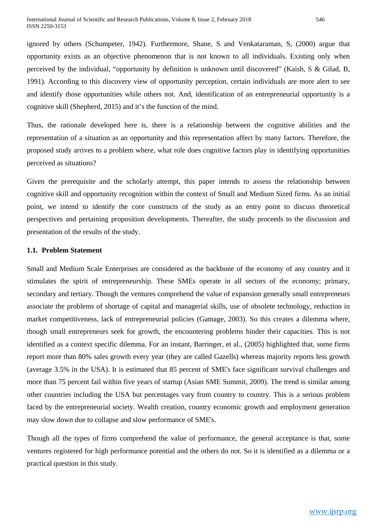ignored by others (Schumpeter, 1942). Furthermore, Shane, S and Venkataraman, S, (2000) argue that opportunity exists as an objective phenomenon that is not known to all individuals. Existing only when perceived by the individual, "opportunity by definition is unknown until discovered" (Kaish, S & Gilad, B, 1991). According to this discovery view of opportunity perception, certain individuals are more alert to see and identify those opportunities while others not. And, identification of an entrepreneurial opportunity is a cognitive skill (Shepherd, 2015) and it's the function of the mind.

Thus, the rationale developed here is, there is a relationship between the cognitive abilities and the representation of a situation as an opportunity and this representation affect by many factors. Therefore, the proposed study arrives to a problem where, what role does cognitive factors play in identifying opportunities perceived as situations?

Given the prerequisite and the scholarly attempt, this paper intends to assess the relationship between cognitive skill and opportunity recognition within the context of Small and Medium Sized firms. As an initial point, we intend to identify the core constructs of the study as an entry point to discuss theoretical perspectives and pertaining proposition developments. Thereafter, the study proceeds to the discussion and presentation of the results of the study.

# **1.1. Problem Statement**

Small and Medium Scale Enterprises are considered as the backbone of the economy of any country and it stimulates the spirit of entrepreneurship. These SMEs operate in all sectors of the economy; primary, secondary and tertiary. Though the ventures comprehend the value of expansion generally small entrepreneurs associate the problems of shortage of capital and managerial skills, use of obsolete technology, reduction in market competitiveness, lack of entrepreneurial policies (Gamage, 2003). So this creates a dilemma where, though small entrepreneurs seek for growth, the encountering problems hinder their capacities. This is not identified as a context specific dilemma. For an instant, Barringer, et al., (2005) highlighted that, some firms report more than 80% sales growth every year (they are called Gazells) whereas majority reports less growth (average 3.5% in the USA). It is estimated that 85 percent of SME's face significant survival challenges and more than 75 percent fail within five years of startup (Asian SME Summit, 2009). The trend is similar among other countries including the USA but percentages vary from country to country. This is a serious problem faced by the entrepreneurial society. Wealth creation, country economic growth and employment generation may slow down due to collapse and slow performance of SME's.

Though all the types of firms comprehend the value of performance, the general acceptance is that, some ventures registered for high performance potential and the others do not. So it is identified as a dilemma or a practical question in this study.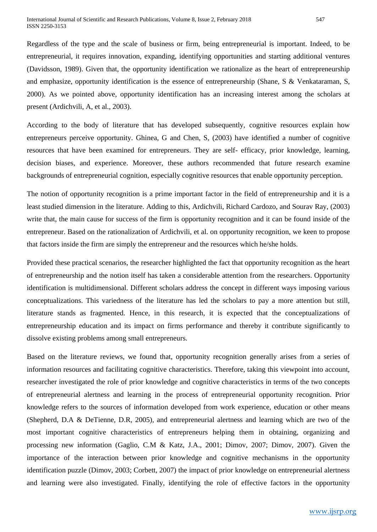Regardless of the type and the scale of business or firm, being entrepreneurial is important. Indeed, to be entrepreneurial, it requires innovation, expanding, identifying opportunities and starting additional ventures (Davidsson, 1989). Given that, the opportunity identification we rationalize as the heart of entrepreneurship and emphasize, opportunity identification is the essence of entrepreneurship (Shane, S & Venkataraman, S, 2000). As we pointed above, opportunity identification has an increasing interest among the scholars at present (Ardichvili, A, et al., 2003).

According to the body of literature that has developed subsequently, cognitive resources explain how entrepreneurs perceive opportunity. Ghinea, G and Chen, S, (2003) have identified a number of cognitive resources that have been examined for entrepreneurs. They are self- efficacy, prior knowledge, learning, decision biases, and experience. Moreover, these authors recommended that future research examine backgrounds of entrepreneurial cognition, especially cognitive resources that enable opportunity perception.

The notion of opportunity recognition is a prime important factor in the field of entrepreneurship and it is a least studied dimension in the literature. Adding to this, Ardichvili, Richard Cardozo, and Sourav Ray, (2003) write that, the main cause for success of the firm is opportunity recognition and it can be found inside of the entrepreneur. Based on the rationalization of Ardichvili, et al. on opportunity recognition, we keen to propose that factors inside the firm are simply the entrepreneur and the resources which he/she holds.

Provided these practical scenarios, the researcher highlighted the fact that opportunity recognition as the heart of entrepreneurship and the notion itself has taken a considerable attention from the researchers. Opportunity identification is multidimensional. Different scholars address the concept in different ways imposing various conceptualizations. This variedness of the literature has led the scholars to pay a more attention but still, literature stands as fragmented. Hence, in this research, it is expected that the conceptualizations of entrepreneurship education and its impact on firms performance and thereby it contribute significantly to dissolve existing problems among small entrepreneurs.

Based on the literature reviews, we found that, opportunity recognition generally arises from a series of information resources and facilitating cognitive characteristics. Therefore, taking this viewpoint into account, researcher investigated the role of prior knowledge and cognitive characteristics in terms of the two concepts of entrepreneurial alertness and learning in the process of entrepreneurial opportunity recognition. Prior knowledge refers to the sources of information developed from work experience, education or other means (Shepherd, D.A & DeTienne, D.R, 2005), and entrepreneurial alertness and learning which are two of the most important cognitive characteristics of entrepreneurs helping them in obtaining, organizing and processing new information (Gaglio, C.M & Katz, J.A., 2001; Dimov, 2007; Dimov, 2007). Given the importance of the interaction between prior knowledge and cognitive mechanisms in the opportunity identification puzzle (Dimov, 2003; Corbett, 2007) the impact of prior knowledge on entrepreneurial alertness and learning were also investigated. Finally, identifying the role of effective factors in the opportunity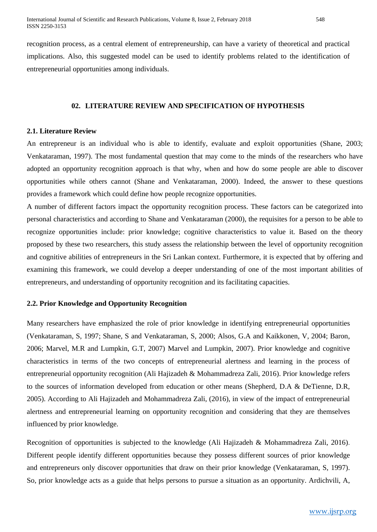recognition process, as a central element of entrepreneurship, can have a variety of theoretical and practical implications. Also, this suggested model can be used to identify problems related to the identification of entrepreneurial opportunities among individuals.

## **02. LITERATURE REVIEW AND SPECIFICATION OF HYPOTHESIS**

#### **2.1. Literature Review**

An entrepreneur is an individual who is able to identify, evaluate and exploit opportunities (Shane, 2003; Venkataraman, 1997). The most fundamental question that may come to the minds of the researchers who have adopted an opportunity recognition approach is that why, when and how do some people are able to discover opportunities while others cannot (Shane and Venkataraman, 2000). Indeed, the answer to these questions provides a framework which could define how people recognize opportunities.

A number of different factors impact the opportunity recognition process. These factors can be categorized into personal characteristics and according to Shane and Venkataraman (2000), the requisites for a person to be able to recognize opportunities include: prior knowledge; cognitive characteristics to value it. Based on the theory proposed by these two researchers, this study assess the relationship between the level of opportunity recognition and cognitive abilities of entrepreneurs in the Sri Lankan context. Furthermore, it is expected that by offering and examining this framework, we could develop a deeper understanding of one of the most important abilities of entrepreneurs, and understanding of opportunity recognition and its facilitating capacities.

#### **2.2. Prior Knowledge and Opportunity Recognition**

Many researchers have emphasized the role of prior knowledge in identifying entrepreneurial opportunities (Venkataraman, S, 1997; Shane, S and Venkataraman, S, 2000; Alsos, G.A and Kaikkonen, V, 2004; Baron, 2006; Marvel, M.R and Lumpkin, G.T, 2007) Marvel and Lumpkin, 2007). Prior knowledge and cognitive characteristics in terms of the two concepts of entrepreneurial alertness and learning in the process of entrepreneurial opportunity recognition (Ali Hajizadeh & Mohammadreza Zali, 2016). Prior knowledge refers to the sources of information developed from education or other means (Shepherd, D.A & DeTienne, D.R, 2005). According to Ali Hajizadeh and Mohammadreza Zali, (2016), in view of the impact of entrepreneurial alertness and entrepreneurial learning on opportunity recognition and considering that they are themselves influenced by prior knowledge.

Recognition of opportunities is subjected to the knowledge (Ali Hajizadeh & Mohammadreza Zali, 2016). Different people identify different opportunities because they possess different sources of prior knowledge and entrepreneurs only discover opportunities that draw on their prior knowledge (Venkataraman, S, 1997). So, prior knowledge acts as a guide that helps persons to pursue a situation as an opportunity. Ardichvili, A,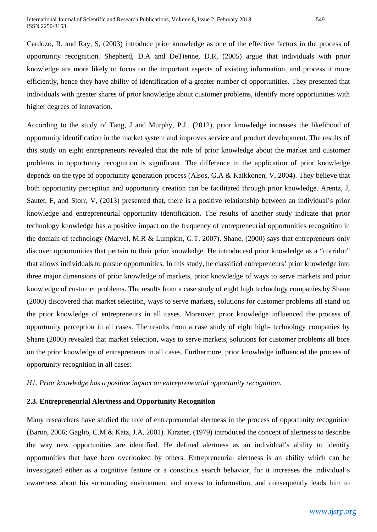Cardozo, R, and Ray, S, (2003) introduce prior knowledge as one of the effective factors in the process of opportunity recognition. Shepherd, D.A and DeTienne, D.R, (2005) argue that individuals with prior knowledge are more likely to focus on the important aspects of existing information, and process it more efficiently, hence they have ability of identification of a greater number of opportunities. They presented that individuals with greater shares of prior knowledge about customer problems, identify more opportunities with higher degrees of innovation.

According to the study of Tang, J and Murphy, P.J., (2012), prior knowledge increases the likelihood of opportunity identification in the market system and improves service and product development. The results of this study on eight entrepreneurs revealed that the role of prior knowledge about the market and customer problems in opportunity recognition is significant. The difference in the application of prior knowledge depends on the type of opportunity generation process (Alsos, G.A & Kaikkonen, V, 2004). They believe that both opportunity perception and opportunity creation can be facilitated through prior knowledge. Arentz, J, Sautet, F, and Storr, V, (2013) presented that, there is a positive relationship between an individual's prior knowledge and entrepreneurial opportunity identification. The results of another study indicate that prior technology knowledge has a positive impact on the frequency of entrepreneurial opportunities recognition in the domain of technology (Marvel, M.R & Lumpkin, G.T, 2007). Shane, (2000) says that entrepreneurs only discover opportunities that pertain to their prior knowledge. He introducesd prior knowledge as a "corridor" that allows individuals to pursue opportunities. In this study, he classified entrepreneurs' prior knowledge into three major dimensions of prior knowledge of markets, prior knowledge of ways to serve markets and prior knowledge of customer problems. The results from a case study of eight high technology companies by Shane (2000) discovered that market selection, ways to serve markets, solutions for customer problems all stand on the prior knowledge of entrepreneurs in all cases. Moreover, prior knowledge influenced the process of opportunity perception in all cases. The results from a case study of eight high- technology companies by Shane (2000) revealed that market selection, ways to serve markets, solutions for customer problems all bore on the prior knowledge of entrepreneurs in all cases. Furthermore, prior knowledge influenced the process of opportunity recognition in all cases:

*H1. Prior knowledge has a positive impact on entrepreneurial opportunity recognition.*

## **2.3. Entrepreneurial Alertness and Opportunity Recognition**

Many researchers have studied the role of entrepreneurial alertness in the process of opportunity recognition (Baron, 2006; Gaglio, C.M & Katz, J.A, 2001). Kirzner, (1979) introduced the concept of alertness to describe the way new opportunities are identified. He defined alertness as an individual's ability to identify opportunities that have been overlooked by others. Entrepreneurial alertness is an ability which can be investigated either as a cognitive feature or a conscious search behavior, for it increases the individual's awareness about his surrounding environment and access to information, and consequently leads him to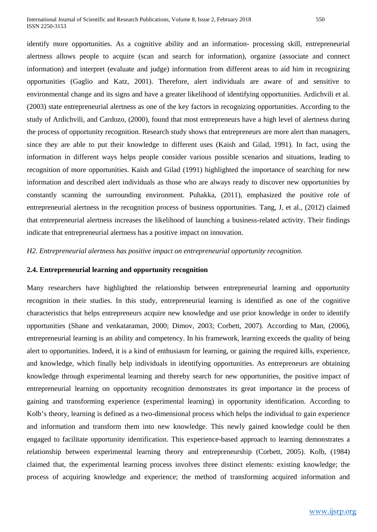identify more opportunities. As a cognitive ability and an information- processing skill, entrepreneurial alertness allows people to acquire (scan and search for information), organize (associate and connect information) and interpret (evaluate and judge) information from different areas to aid him in recognizing opportunities (Gaglio and Katz, 2001). Therefore, alert individuals are aware of and sensitive to environmental change and its signs and have a greater likelihood of identifying opportunities. Ardichvili et al. (2003) state entrepreneurial alertness as one of the key factors in recognizing opportunities. According to the study of Ardichvili, and Cardozo, (2000), found that most entrepreneurs have a high level of alertness during the process of opportunity recognition. Research study shows that entrepreneurs are more alert than managers, since they are able to put their knowledge to different uses (Kaish and Gilad, 1991). In fact, using the information in different ways helps people consider various possible scenarios and situations, leading to recognition of more opportunities. Kaish and Gilad (1991) highlighted the importance of searching for new information and described alert individuals as those who are always ready to discover new opportunities by constantly scanning the surrounding environment. Puhakka, (2011), emphasized the positive role of entrepreneurial alertness in the recognition process of business opportunities. Tang, J, et al., (2012) claimed that entrepreneurial alertness increases the likelihood of launching a business-related activity. Their findings indicate that entrepreneurial alertness has a positive impact on innovation.

*H2. Entrepreneurial alertness has positive impact on entrepreneurial opportunity recognition.*

#### **2.4. Entrepreneurial learning and opportunity recognition**

Many researchers have highlighted the relationship between entrepreneurial learning and opportunity recognition in their studies. In this study, entrepreneurial learning is identified as one of the cognitive characteristics that helps entrepreneurs acquire new knowledge and use prior knowledge in order to identify opportunities (Shane and venkataraman, 2000; Dimov, 2003; Corbett, 2007). According to Man, (2006), entrepreneurial learning is an ability and competency. In his framework, learning exceeds the quality of being alert to opportunities. Indeed, it is a kind of enthusiasm for learning, or gaining the required kills, experience, and knowledge, which finally help individuals in identifying opportunities. As entrepreneurs are obtaining knowledge through experimental learning and thereby search for new opportunities, the positive impact of entrepreneurial learning on opportunity recognition demonstrates its great importance in the process of gaining and transforming experience (experimental learning) in opportunity identification. According to Kolb's theory, learning is defined as a two-dimensional process which helps the individual to gain experience and information and transform them into new knowledge. This newly gained knowledge could be then engaged to facilitate opportunity identification. This experience-based approach to learning demonstrates a relationship between experimental learning theory and entrepreneurship (Corbett, 2005). Kolb, (1984) claimed that, the experimental learning process involves three distinct elements: existing knowledge; the process of acquiring knowledge and experience; the method of transforming acquired information and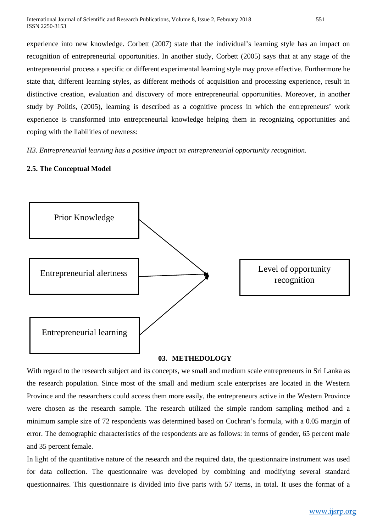experience into new knowledge. Corbett (2007) state that the individual's learning style has an impact on recognition of entrepreneurial opportunities. In another study, Corbett (2005) says that at any stage of the entrepreneurial process a specific or different experimental learning style may prove effective. Furthermore he state that, different learning styles, as different methods of acquisition and processing experience, result in distinctive creation, evaluation and discovery of more entrepreneurial opportunities. Moreover, in another study by Politis, (2005), learning is described as a cognitive process in which the entrepreneurs' work experience is transformed into entrepreneurial knowledge helping them in recognizing opportunities and coping with the liabilities of newness:

*H3. Entrepreneurial learning has a positive impact on entrepreneurial opportunity recognition.*

# **2.5. The Conceptual Model**



## **03. METHEDOLOGY**

With regard to the research subject and its concepts, we small and medium scale entrepreneurs in Sri Lanka as the research population. Since most of the small and medium scale enterprises are located in the Western Province and the researchers could access them more easily, the entrepreneurs active in the Western Province were chosen as the research sample. The research utilized the simple random sampling method and a minimum sample size of 72 respondents was determined based on Cochran's formula, with a 0.05 margin of error. The demographic characteristics of the respondents are as follows: in terms of gender, 65 percent male and 35 percent female.

In light of the quantitative nature of the research and the required data, the questionnaire instrument was used for data collection. The questionnaire was developed by combining and modifying several standard questionnaires. This questionnaire is divided into five parts with 57 items, in total. It uses the format of a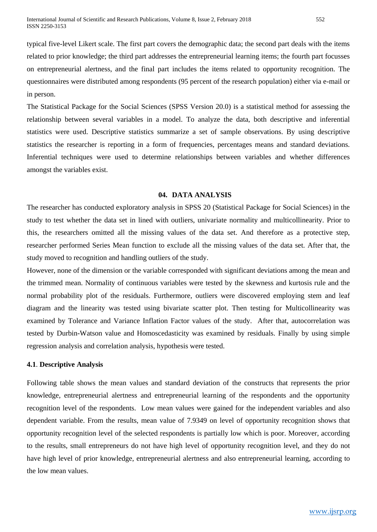typical five-level Likert scale. The first part covers the demographic data; the second part deals with the items related to prior knowledge; the third part addresses the entrepreneurial learning items; the fourth part focusses on entrepreneurial alertness, and the final part includes the items related to opportunity recognition. The questionnaires were distributed among respondents (95 percent of the research population) either via e-mail or in person.

The Statistical Package for the Social Sciences (SPSS Version 20.0) is a statistical method for assessing the relationship between several variables in a model. To analyze the data, both descriptive and inferential statistics were used. Descriptive statistics summarize a set of sample observations. By using descriptive statistics the researcher is reporting in a form of frequencies, percentages means and standard deviations. Inferential techniques were used to determine relationships between variables and whether differences amongst the variables exist.

## **04. DATA ANALYSIS**

The researcher has conducted exploratory analysis in SPSS 20 (Statistical Package for Social Sciences) in the study to test whether the data set in lined with outliers, univariate normality and multicollinearity. Prior to this, the researchers omitted all the missing values of the data set. And therefore as a protective step, researcher performed Series Mean function to exclude all the missing values of the data set. After that, the study moved to recognition and handling outliers of the study.

However, none of the dimension or the variable corresponded with significant deviations among the mean and the trimmed mean. Normality of continuous variables were tested by the skewness and kurtosis rule and the normal probability plot of the residuals. Furthermore, outliers were discovered employing stem and leaf diagram and the linearity was tested using bivariate scatter plot. Then testing for Multicollinearity was examined by Tolerance and Variance Inflation Factor values of the study. After that, autocorrelation was tested by Durbin-Watson value and Homoscedasticity was examined by residuals. Finally by using simple regression analysis and correlation analysis, hypothesis were tested.

#### **4.1**. **Descriptive Analysis**

Following table shows the mean values and standard deviation of the constructs that represents the prior knowledge, entrepreneurial alertness and entrepreneurial learning of the respondents and the opportunity recognition level of the respondents. Low mean values were gained for the independent variables and also dependent variable. From the results, mean value of 7.9349 on level of opportunity recognition shows that opportunity recognition level of the selected respondents is partially low which is poor. Moreover, according to the results, small entrepreneurs do not have high level of opportunity recognition level, and they do not have high level of prior knowledge, entrepreneurial alertness and also entrepreneurial learning, according to the low mean values.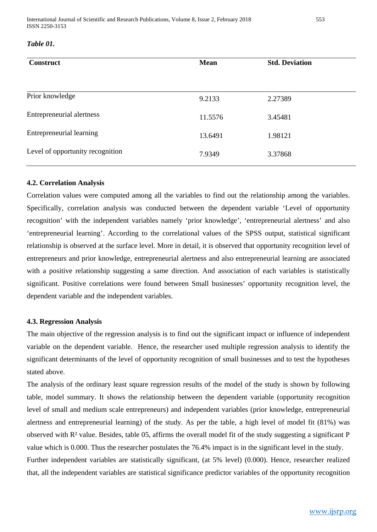## *Table 01.*

| <b>Construct</b>                 | <b>Mean</b> | <b>Std. Deviation</b> |  |
|----------------------------------|-------------|-----------------------|--|
| Prior knowledge                  |             |                       |  |
|                                  | 9.2133      | 2.27389               |  |
| Entrepreneurial alertness        | 11.5576     | 3.45481               |  |
| Entrepreneurial learning         | 13.6491     | 1.98121               |  |
| Level of opportunity recognition | 7.9349      | 3.37868               |  |

## **4.2. Correlation Analysis**

Correlation values were computed among all the variables to find out the relationship among the variables. Specifically, correlation analysis was conducted between the dependent variable 'Level of opportunity recognition' with the independent variables namely 'prior knowledge', 'entrepreneurial alertness' and also 'entrepreneurial learning'. According to the correlational values of the SPSS output, statistical significant relationship is observed at the surface level. More in detail, it is observed that opportunity recognition level of entrepreneurs and prior knowledge, entrepreneurial alertness and also entrepreneurial learning are associated with a positive relationship suggesting a same direction. And association of each variables is statistically significant. Positive correlations were found between Small businesses' opportunity recognition level, the dependent variable and the independent variables.

#### **4.3. Regression Analysis**

The main objective of the regression analysis is to find out the significant impact or influence of independent variable on the dependent variable. Hence, the researcher used multiple regression analysis to identify the significant determinants of the level of opportunity recognition of small businesses and to test the hypotheses stated above.

The analysis of the ordinary least square regression results of the model of the study is shown by following table, model summary. It shows the relationship between the dependent variable (opportunity recognition level of small and medium scale entrepreneurs) and independent variables (prior knowledge, entrepreneurial alertness and entrepreneurial learning) of the study. As per the table, a high level of model fit (81%) was observed with  $R<sup>2</sup>$  value. Besides, table 05, affirms the overall model fit of the study suggesting a significant P value which is 0.000. Thus the researcher postulates the 76.4% impact is in the significant level in the study. Further independent variables are statistically significant, (at 5% level) (0.000). Hence, researcher realized that, all the independent variables are statistical significance predictor variables of the opportunity recognition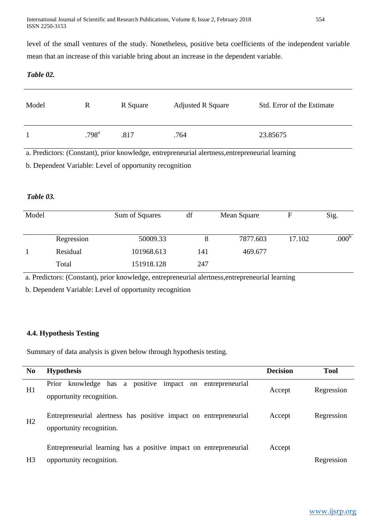level of the small ventures of the study. Nonetheless, positive beta coefficients of the independent variable mean that an increase of this variable bring about an increase in the dependent variable.

# *Table 02.*

| Model | R                 | R Square | Adjusted R Square | Std. Error of the Estimate |
|-------|-------------------|----------|-------------------|----------------------------|
|       | .798 <sup>a</sup> | .817     | .764              | 23.85675                   |

a. Predictors: (Constant), prior knowledge, entrepreneurial alertness,entrepreneurial learning

b. Dependent Variable: Level of opportunity recognition

## *Table 03.*

| Model |            | Sum of Squares | df  | Mean Square | F      | Sig.              |
|-------|------------|----------------|-----|-------------|--------|-------------------|
|       |            |                |     |             |        |                   |
|       | Regression | 50009.33       |     | 7877.603    | 17.102 | .000 <sup>b</sup> |
|       | Residual   | 101968.613     | 141 | 469.677     |        |                   |
|       | Total      | 151918.128     | 247 |             |        |                   |

a. Predictors: (Constant), prior knowledge, entrepreneurial alertness,entrepreneurial learning

b. Dependent Variable: Level of opportunity recognition

# **4.4. Hypothesis Testing**

Summary of data analysis is given below through hypothesis testing.

| N <sub>0</sub> | <b>Hypothesis</b>                                                                            | <b>Decision</b> | Tool       |
|----------------|----------------------------------------------------------------------------------------------|-----------------|------------|
| H1             | knowledge has a positive impact on entrepreneurial<br>Prior<br>opportunity recognition.      | Accept          | Regression |
| H <sub>2</sub> | Entrepreneurial alertness has positive impact on entrepreneurial<br>opportunity recognition. | Accept          | Regression |
|                | Entrepreneurial learning has a positive impact on entrepreneurial                            | Accept          |            |
| H <sub>3</sub> | opportunity recognition.                                                                     |                 | Regression |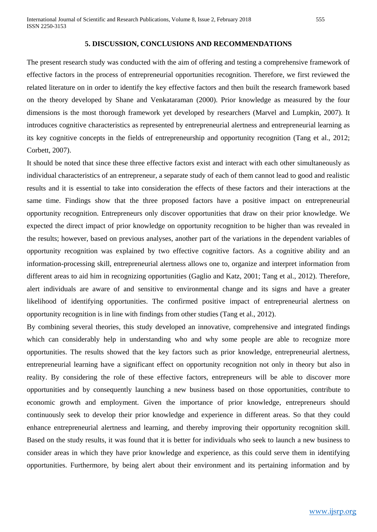## **5. DISCUSSION, CONCLUSIONS AND RECOMMENDATIONS**

The present research study was conducted with the aim of offering and testing a comprehensive framework of effective factors in the process of entrepreneurial opportunities recognition. Therefore, we first reviewed the related literature on in order to identify the key effective factors and then built the research framework based on the theory developed by Shane and Venkataraman (2000). Prior knowledge as measured by the four dimensions is the most thorough framework yet developed by researchers (Marvel and Lumpkin, 2007). It introduces cognitive characteristics as represented by entrepreneurial alertness and entrepreneurial learning as its key cognitive concepts in the fields of entrepreneurship and opportunity recognition (Tang et al., 2012; Corbett, 2007).

It should be noted that since these three effective factors exist and interact with each other simultaneously as individual characteristics of an entrepreneur, a separate study of each of them cannot lead to good and realistic results and it is essential to take into consideration the effects of these factors and their interactions at the same time. Findings show that the three proposed factors have a positive impact on entrepreneurial opportunity recognition. Entrepreneurs only discover opportunities that draw on their prior knowledge. We expected the direct impact of prior knowledge on opportunity recognition to be higher than was revealed in the results; however, based on previous analyses, another part of the variations in the dependent variables of opportunity recognition was explained by two effective cognitive factors. As a cognitive ability and an information-processing skill, entrepreneurial alertness allows one to, organize and interpret information from different areas to aid him in recognizing opportunities (Gaglio and Katz, 2001; Tang et al., 2012). Therefore, alert individuals are aware of and sensitive to environmental change and its signs and have a greater likelihood of identifying opportunities. The confirmed positive impact of entrepreneurial alertness on opportunity recognition is in line with findings from other studies (Tang et al., 2012).

By combining several theories, this study developed an innovative, comprehensive and integrated findings which can considerably help in understanding who and why some people are able to recognize more opportunities. The results showed that the key factors such as prior knowledge, entrepreneurial alertness, entrepreneurial learning have a significant effect on opportunity recognition not only in theory but also in reality. By considering the role of these effective factors, entrepreneurs will be able to discover more opportunities and by consequently launching a new business based on those opportunities, contribute to economic growth and employment. Given the importance of prior knowledge, entrepreneurs should continuously seek to develop their prior knowledge and experience in different areas. So that they could enhance entrepreneurial alertness and learning, and thereby improving their opportunity recognition skill. Based on the study results, it was found that it is better for individuals who seek to launch a new business to consider areas in which they have prior knowledge and experience, as this could serve them in identifying opportunities. Furthermore, by being alert about their environment and its pertaining information and by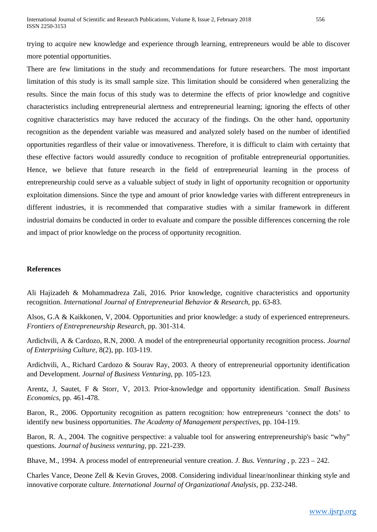trying to acquire new knowledge and experience through learning, entrepreneurs would be able to discover more potential opportunities.

There are few limitations in the study and recommendations for future researchers. The most important limitation of this study is its small sample size. This limitation should be considered when generalizing the results. Since the main focus of this study was to determine the effects of prior knowledge and cognitive characteristics including entrepreneurial alertness and entrepreneurial learning; ignoring the effects of other cognitive characteristics may have reduced the accuracy of the findings. On the other hand, opportunity recognition as the dependent variable was measured and analyzed solely based on the number of identified opportunities regardless of their value or innovativeness. Therefore, it is difficult to claim with certainty that these effective factors would assuredly conduce to recognition of profitable entrepreneurial opportunities. Hence, we believe that future research in the field of entrepreneurial learning in the process of entrepreneurship could serve as a valuable subject of study in light of opportunity recognition or opportunity exploitation dimensions. Since the type and amount of prior knowledge varies with different entrepreneurs in different industries, it is recommended that comparative studies with a similar framework in different industrial domains be conducted in order to evaluate and compare the possible differences concerning the role and impact of prior knowledge on the process of opportunity recognition.

## **References**

Ali Hajizadeh & Mohammadreza Zali, 2016. Prior knowledge, cognitive characteristics and opportunity recognition. *International Journal of Entrepreneurial Behavior & Research,* pp. 63-83.

Alsos, G.A & Kaikkonen, V, 2004. Opportunities and prior knowledge: a study of experienced entrepreneurs. *Frontiers of Entrepreneurship Research,* pp. 301-314.

Ardichvili, A & Cardozo, R.N, 2000. A model of the entrepreneurial opportunity recognition process. *Journal of Enterprising Culture,* 8(2), pp. 103-119.

Ardichvili, A., Richard Cardozo & Sourav Ray, 2003. A theory of entrepreneurial opportunity identification and Development. *Journal of Business Venturing,* pp. 105-123.

Arentz, J, Sautet, F & Storr, V, 2013. Prior-knowledge and opportunity identification. *Small Business Economics,* pp. 461-478.

Baron, R., 2006. Opportunity recognition as pattern recognition: how entrepreneurs 'connect the dots' to identify new business opportunities. *The Academy of Management perspectives,* pp. 104-119.

Baron, R. A., 2004. The cognitive perspective: a valuable tool for answering entrepreneurship's basic "why" questions. *Journal of business venturing,* pp. 221-239.

Bhave, M., 1994. A process model of entrepreneurial venture creation. *J. Bus. Venturing ,* p. 223 – 242.

Charles Vance, Deone Zell & Kevin Groves, 2008. Considering individual linear/nonlinear thinking style and innovative corporate culture. *International Journal of Organizational Analysis,* pp. 232-248.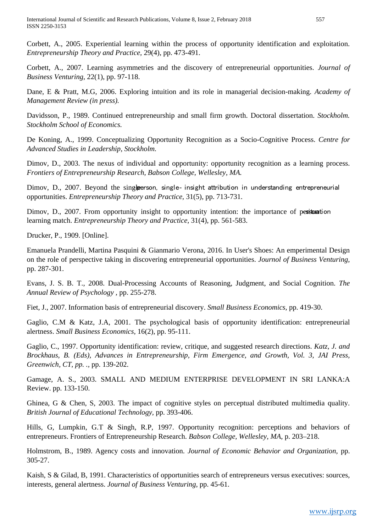Corbett, A., 2005. Experiential learning within the process of opportunity identification and exploitation. *Entrepreneurship Theory and Practice,* 29(4), pp. 473-491.

Corbett, A., 2007. Learning asymmetries and the discovery of entrepreneurial opportunities. *Journal of Business Venturing,* 22(1), pp. 97-118.

Dane, E & Pratt, M.G, 2006. Exploring intuition and its role in managerial decision-making. *Academy of Management Review (in press).*

Davidsson, P., 1989. Continued entrepreneurship and small firm growth. Doctoral dissertation. *Stockholm. Stockholm School of Economics.*

De Koning, A., 1999. Conceptualizing Opportunity Recognition as a Socio-Cognitive Process. *Centre for Advanced Studies in Leadership, Stockholm.*

Dimov, D., 2003. The nexus of individual and opportunity: opportunity recognition as a learning process. *Frontiers of Entrepreneurship Research, Babson College, Wellesley, MA.*

Dimov, D., 2007. Beyond the singleerson, single- insight attribution in understanding entrepreneurial opportunities. *Entrepreneurship Theory and Practice,* 31(5), pp. 713-731.

Dimov, D., 2007. From opportunity insight to opportunity intention: the importance of person substantion learning match. *Entrepreneurship Theory and Practice,* 31(4), pp. 561-583.

Drucker, P., 1909. [Online].

Emanuela Prandelli, Martina Pasquini & Gianmario Verona, 2016. In User's Shoes: An emperimental Design on the role of perspective taking in discovering entrepreneurial opportunities. *Journol of Business Venturing,*  pp. 287-301.

Evans, J. S. B. T., 2008. Dual-Processing Accounts of Reasoning, Judgment, and Social Cognition. *The Annual Review of Psychology ,* pp. 255-278.

Fiet, J., 2007. Information basis of entrepreneurial discovery. *Small Business Economics,* pp. 419-30.

Gaglio, C.M & Katz, J.A, 2001. The psychological basis of opportunity identification: entrepreneurial alertness. *Small Business Economics,* 16(2), pp. 95-111.

Gaglio, C., 1997. Opportunity identification: review, critique, and suggested research directions. *Katz, J. and Brockhaus, B. (Eds), Advances in Entrepreneurship, Firm Emergence, and Growth, Vol. 3, JAI Press, Greenwich, CT, pp. .,* pp. 139-202.

Gamage, A. S., 2003. SMALL AND MEDIUM ENTERPRISE DEVELOPMENT IN SRI LANKA:A Review. pp. 133-150.

Ghinea, G & Chen, S, 2003. The impact of cognitive styles on perceptual distributed multimedia quality. *British Journal of Educational Technology,* pp. 393-406.

Hills, G, Lumpkin, G.T & Singh, R.P, 1997. Opportunity recognition: perceptions and behaviors of entrepreneurs. Frontiers of Entrepreneurship Research. *Babson College, Wellesley, MA,* p. 203–218.

Holmstrom, B., 1989. Agency costs and innovation. *Journal of Economic Behavior and Organization,* pp. 305-27.

Kaish, S & Gilad, B, 1991. Characteristics of opportunities search of entrepreneurs versus executives: sources, interests, general alertness. *Journal of Business Venturing,* pp. 45-61.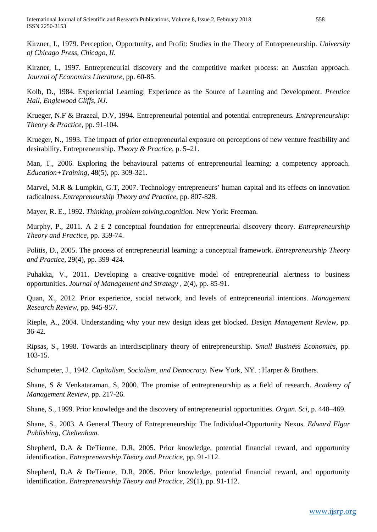Kirzner, I., 1979. Perception, Opportunity, and Profit: Studies in the Theory of Entrepreneurship. *University of Chicago Press, Chicago, II.*

Kirzner, I., 1997. Entrepreneurial discovery and the competitive market process: an Austrian approach. *Journal of Economics Literature,* pp. 60-85.

Kolb, D., 1984. Experiential Learning: Experience as the Source of Learning and Development. *Prentice Hall, Englewood Cliffs, NJ.*

Krueger, N.F & Brazeal, D.V, 1994. Entrepreneurial potential and potential entrepreneurs. *Entrepreneurship: Theory & Practice,* pp. 91-104.

Krueger, N., 1993. The impact of prior entrepreneurial exposure on perceptions of new venture feasibility and desirability. Entrepreneurship. *Theory & Practice,* p. 5–21.

Man, T., 2006. Exploring the behavioural patterns of entrepreneurial learning: a competency approach. *Education+Training,* 48(5), pp. 309-321.

Marvel, M.R & Lumpkin, G.T, 2007. Technology entrepreneurs' human capital and its effects on innovation radicalness. *Entrepreneurship Theory and Practice,* pp. 807-828.

Mayer, R. E., 1992. *Thinking, problem solving,cognition.* New York: Freeman.

Murphy, P., 2011. A 2 £ 2 conceptual foundation for entrepreneurial discovery theory. *Entrepreneurship Theory and Practice,* pp. 359-74.

Politis, D., 2005. The process of entrepreneurial learning: a conceptual framework. *Entrepreneurship Theory and Practice,* 29(4), pp. 399-424.

Puhakka, V., 2011. Developing a creative-cognitive model of entrepreneurial alertness to business opportunities. *Journal of Management and Strategy ,* 2(4), pp. 85-91.

Quan, X., 2012. Prior experience, social network, and levels of entrepreneurial intentions. *Management Research Review,* pp. 945-957.

Rieple, A., 2004. Understanding why your new design ideas get blocked. *Design Management Review,* pp. 36-42.

Ripsas, S., 1998. Towards an interdisciplinary theory of entrepreneurship. *Small Business Economics,* pp. 103-15.

Schumpeter, J., 1942. *Capitalism, Socialism, and Democracy.* New York, NY. : Harper & Brothers.

Shane, S & Venkataraman, S, 2000. The promise of entrepreneurship as a field of research. *Academy of Management Review,* pp. 217-26.

Shane, S., 1999. Prior knowledge and the discovery of entrepreneurial opportunities. *Organ. Sci,* p. 448–469.

Shane, S., 2003. A General Theory of Entrepreneurship: The Individual-Opportunity Nexus. *Edward Elgar Publishing, Cheltenham.*

Shepherd, D.A & DeTienne, D.R, 2005. Prior knowledge, potential financial reward, and opportunity identification. *Entrepreneurship Theory and Practice,* pp. 91-112.

Shepherd, D.A & DeTienne, D.R, 2005. Prior knowledge, potential financial reward, and opportunity identification. *Entrepreneurship Theory and Practice,* 29(1), pp. 91-112.